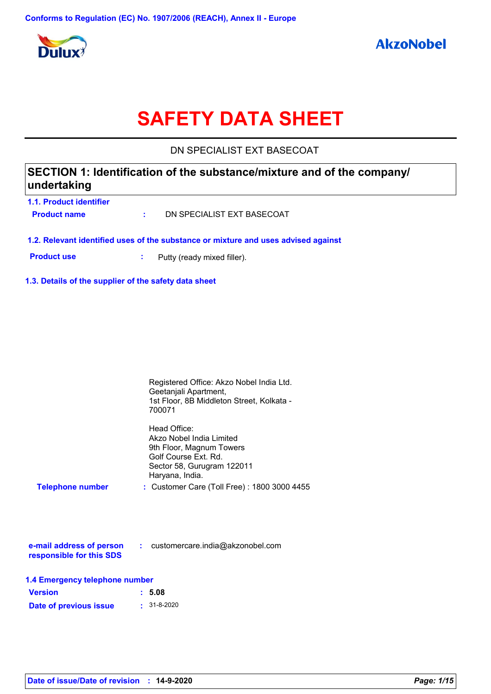

# **SAFETY DATA SHEET**

DN SPECIALIST EXT BASECOAT

### **SECTION 1: Identification of the substance/mixture and of the company/ undertaking**

**1.1. Product identifier**

**Product name :** DN SPECIALIST EXT BASECOAT

**1.2. Relevant identified uses of the substance or mixture and uses advised against**

**Product use :** Putty (ready mixed filler).

**1.3. Details of the supplier of the safety data sheet**

|                                | Registered Office: Akzo Nobel India Ltd.<br>Geetanjali Apartment,<br>1st Floor, 8B Middleton Street, Kolkata -<br>700071                      |
|--------------------------------|-----------------------------------------------------------------------------------------------------------------------------------------------|
|                                | Head Office:<br>Akzo Nobel India Limited<br>9th Floor, Magnum Towers<br>Golf Course Ext. Rd.<br>Sector 58, Gurugram 122011<br>Haryana, India. |
| <b>Telephone number</b>        | : Customer Care (Toll Free) : 1800 3000 4455                                                                                                  |
| responsible for this SDS       | <b>e-mail address of person : customercare.india@akzonobel.com</b>                                                                            |
| l 4 Emergency telenhone number |                                                                                                                                               |

|  | 1.4 Emergency telephone number |  |  |
|--|--------------------------------|--|--|
|--|--------------------------------|--|--|

| <b>Version</b>         | : 5.08            |
|------------------------|-------------------|
| Date of previous issue | $: 31 - 8 - 2020$ |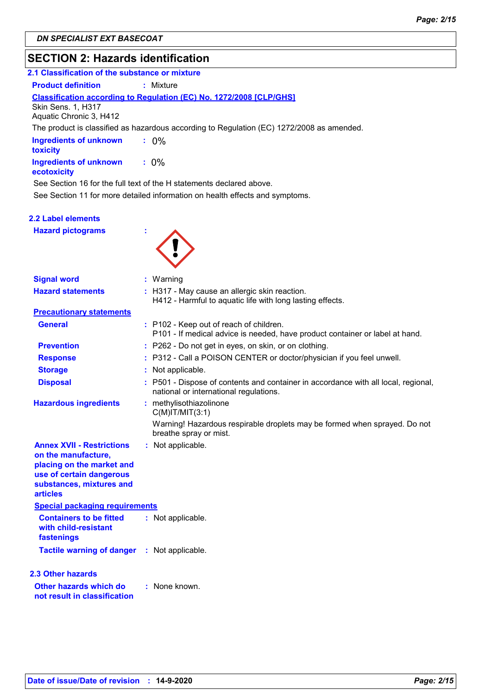### **SECTION 2: Hazards identification**

| <b>JLUTIVIN 4. HAZATUS TUGHUHCAUVH</b>               |                                                                                                                              |  |
|------------------------------------------------------|------------------------------------------------------------------------------------------------------------------------------|--|
| 2.1 Classification of the substance or mixture       |                                                                                                                              |  |
| <b>Product definition</b>                            | : Mixture                                                                                                                    |  |
|                                                      | Classification according to Regulation (EC) No. 1272/2008 [CLP/GHS]                                                          |  |
| <b>Skin Sens. 1, H317</b><br>Aquatic Chronic 3, H412 |                                                                                                                              |  |
|                                                      | The product is classified as hazardous according to Regulation (EC) 1272/2008 as amended.                                    |  |
| <b>Ingredients of unknown</b><br>toxicity            | $: 0\%$                                                                                                                      |  |
| <b>Ingredients of unknown</b><br>ecotoxicity         | $: 0\%$                                                                                                                      |  |
|                                                      | See Section 16 for the full text of the H statements declared above.                                                         |  |
|                                                      | See Section 11 for more detailed information on health effects and symptoms.                                                 |  |
|                                                      |                                                                                                                              |  |
| 2.2 Label elements                                   |                                                                                                                              |  |
| <b>Hazard pictograms</b>                             |                                                                                                                              |  |
|                                                      |                                                                                                                              |  |
| <b>Signal word</b>                                   | $:$ Warning                                                                                                                  |  |
| <b>Hazard statements</b>                             | : H317 - May cause an allergic skin reaction.<br>H412 - Harmful to aquatic life with long lasting effects.                   |  |
| <b>Precautionary statements</b>                      |                                                                                                                              |  |
| <b>General</b>                                       | : P102 - Keep out of reach of children.<br>P101 - If medical advice is needed, have product container or label at hand.      |  |
| <b>Prevention</b>                                    | : P262 - Do not get in eyes, on skin, or on clothing.                                                                        |  |
| <b>Response</b>                                      | : P312 - Call a POISON CENTER or doctor/physician if you feel unwell.                                                        |  |
| <b>Storage</b>                                       | : Not applicable.                                                                                                            |  |
| <b>Disposal</b>                                      | : P501 - Dispose of contents and container in accordance with all local, regional,<br>national or international regulations. |  |
| <b>Hazardous ingredients</b>                         | : methylisothiazolinone<br>$C(M)$ IT/MIT $(3:1)$                                                                             |  |
|                                                      | Warning! Hazardous respirable droplets may be formed when sprayed. Do not<br>breathe spray or mist.                          |  |

| <b>Annex XVII - Restrictions</b><br>on the manufacture,<br>placing on the market and<br>use of certain dangerous<br>substances, mixtures and<br>articles | : Not applicable. |
|----------------------------------------------------------------------------------------------------------------------------------------------------------|-------------------|
| <b>Special packaging requirements</b>                                                                                                                    |                   |
| <b>Containers to be fitted</b><br>with child-resistant<br>fastenings                                                                                     | : Not applicable. |
| <b>Tactile warning of danger</b>                                                                                                                         | : Not applicable. |

**Other hazards which do : not result in classification** : None known. **2.3 Other hazards**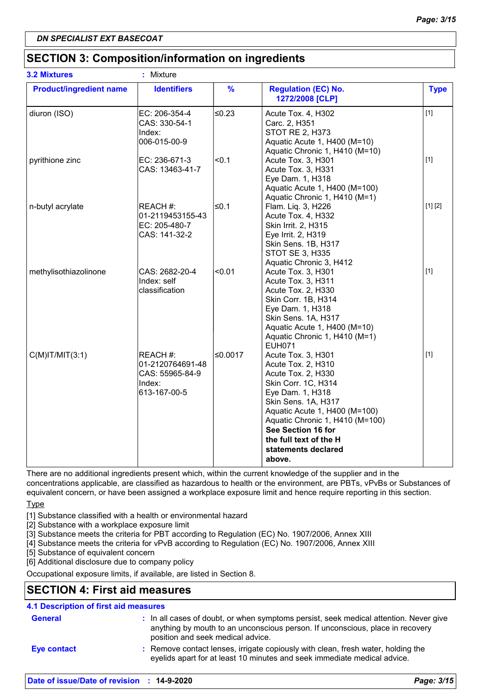### **SECTION 3: Composition/information on ingredients**

| <b>3.2 Mixtures</b>            | : Mixture                                                                 |               |                                                                                                                                                                                                                                                                                       |             |
|--------------------------------|---------------------------------------------------------------------------|---------------|---------------------------------------------------------------------------------------------------------------------------------------------------------------------------------------------------------------------------------------------------------------------------------------|-------------|
| <b>Product/ingredient name</b> | <b>Identifiers</b>                                                        | $\frac{9}{6}$ | <b>Regulation (EC) No.</b><br>1272/2008 [CLP]                                                                                                                                                                                                                                         | <b>Type</b> |
| diuron (ISO)                   | EC: 206-354-4<br>CAS: 330-54-1<br>Index:<br>006-015-00-9                  | $≤0.23$       | Acute Tox. 4, H302<br>Carc. 2, H351<br><b>STOT RE 2, H373</b><br>Aquatic Acute 1, H400 (M=10)<br>Aquatic Chronic 1, H410 (M=10)                                                                                                                                                       | $[1]$       |
| pyrithione zinc                | EC: 236-671-3<br>CAS: 13463-41-7                                          | < 0.1         | Acute Tox. 3, H301<br>Acute Tox. 3, H331<br>Eye Dam. 1, H318<br>Aquatic Acute 1, H400 (M=100)<br>Aquatic Chronic 1, H410 (M=1)                                                                                                                                                        | $[1]$       |
| n-butyl acrylate               | REACH #:<br>01-2119453155-43<br>EC: 205-480-7<br>CAS: 141-32-2            | l≤0.1         | Flam. Liq. 3, H226<br>Acute Tox. 4, H332<br>Skin Irrit. 2, H315<br>Eye Irrit. 2, H319<br>Skin Sens. 1B, H317<br><b>STOT SE 3, H335</b><br>Aquatic Chronic 3, H412                                                                                                                     | [1] [2]     |
| methylisothiazolinone          | CAS: 2682-20-4<br>Index: self<br>classification                           | < 0.01        | Acute Tox. 3, H301<br>Acute Tox. 3, H311<br>Acute Tox. 2, H330<br>Skin Corr. 1B, H314<br>Eye Dam. 1, H318<br>Skin Sens. 1A, H317<br>Aquatic Acute 1, H400 (M=10)<br>Aquatic Chronic 1, H410 (M=1)<br><b>EUH071</b>                                                                    | $[1]$       |
| $C(M)$ IT/MIT $(3:1)$          | REACH #:<br>01-2120764691-48<br>CAS: 55965-84-9<br>Index:<br>613-167-00-5 | ≤0.0017       | Acute Tox. 3, H301<br>Acute Tox. 2, H310<br>Acute Tox. 2, H330<br>Skin Corr. 1C, H314<br>Eye Dam. 1, H318<br>Skin Sens. 1A, H317<br>Aquatic Acute 1, H400 (M=100)<br>Aquatic Chronic 1, H410 (M=100)<br>See Section 16 for<br>the full text of the H<br>statements declared<br>above. | $[1]$       |

There are no additional ingredients present which, within the current knowledge of the supplier and in the concentrations applicable, are classified as hazardous to health or the environment, are PBTs, vPvBs or Substances of

equivalent concern, or have been assigned a workplace exposure limit and hence require reporting in this section.

### **Type**

- [1] Substance classified with a health or environmental hazard
- [2] Substance with a workplace exposure limit
- [3] Substance meets the criteria for PBT according to Regulation (EC) No. 1907/2006, Annex XIII
- [4] Substance meets the criteria for vPvB according to Regulation (EC) No. 1907/2006, Annex XIII
- [5] Substance of equivalent concern
- [6] Additional disclosure due to company policy

Occupational exposure limits, if available, are listed in Section 8.

### **SECTION 4: First aid measures**

### : Remove contact lenses, irrigate copiously with clean, fresh water, holding the eyelids apart for at least 10 minutes and seek immediate medical advice. General **In all cases of doubt, or when symptoms persist, seek medical attention. Never give <b>General** anything by mouth to an unconscious person. If unconscious, place in recovery position and seek medical advice. **4.1 Description of first aid measures Eye contact :**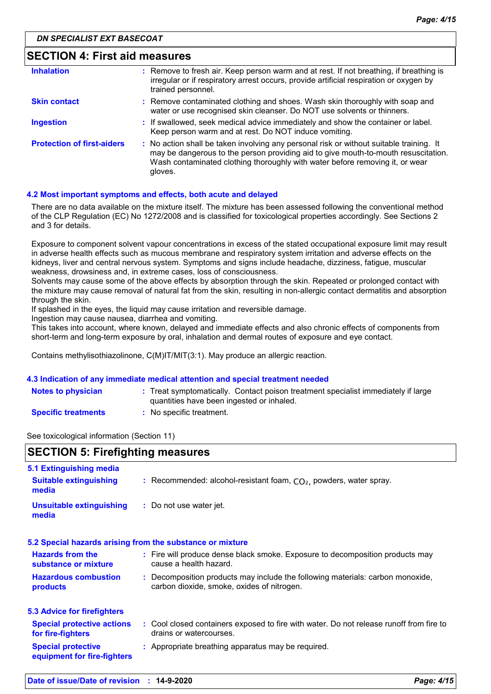| <b>SECTION 4: First aid measures</b> |                                                                                                                                                                                                                                                                          |
|--------------------------------------|--------------------------------------------------------------------------------------------------------------------------------------------------------------------------------------------------------------------------------------------------------------------------|
| <b>Inhalation</b>                    | : Remove to fresh air. Keep person warm and at rest. If not breathing, if breathing is<br>irregular or if respiratory arrest occurs, provide artificial respiration or oxygen by<br>trained personnel.                                                                   |
| <b>Skin contact</b>                  | : Remove contaminated clothing and shoes. Wash skin thoroughly with soap and<br>water or use recognised skin cleanser. Do NOT use solvents or thinners.                                                                                                                  |
| <b>Ingestion</b>                     | : If swallowed, seek medical advice immediately and show the container or label.<br>Keep person warm and at rest. Do NOT induce vomiting.                                                                                                                                |
| <b>Protection of first-aiders</b>    | : No action shall be taken involving any personal risk or without suitable training. It<br>may be dangerous to the person providing aid to give mouth-to-mouth resuscitation.<br>Wash contaminated clothing thoroughly with water before removing it, or wear<br>gloves. |

#### **4.2 Most important symptoms and effects, both acute and delayed**

There are no data available on the mixture itself. The mixture has been assessed following the conventional method of the CLP Regulation (EC) No 1272/2008 and is classified for toxicological properties accordingly. See Sections 2 and 3 for details.

Exposure to component solvent vapour concentrations in excess of the stated occupational exposure limit may result in adverse health effects such as mucous membrane and respiratory system irritation and adverse effects on the kidneys, liver and central nervous system. Symptoms and signs include headache, dizziness, fatigue, muscular weakness, drowsiness and, in extreme cases, loss of consciousness.

Solvents may cause some of the above effects by absorption through the skin. Repeated or prolonged contact with the mixture may cause removal of natural fat from the skin, resulting in non-allergic contact dermatitis and absorption through the skin.

If splashed in the eyes, the liquid may cause irritation and reversible damage.

Ingestion may cause nausea, diarrhea and vomiting.

This takes into account, where known, delayed and immediate effects and also chronic effects of components from short-term and long-term exposure by oral, inhalation and dermal routes of exposure and eye contact.

Contains methylisothiazolinone, C(M)IT/MIT(3:1). May produce an allergic reaction.

#### **4.3 Indication of any immediate medical attention and special treatment needed**

| <b>Notes to physician</b>  | : Treat symptomatically. Contact poison treatment specialist immediately if large<br>quantities have been ingested or inhaled. |
|----------------------------|--------------------------------------------------------------------------------------------------------------------------------|
| <b>Specific treatments</b> | No specific treatment.                                                                                                         |

See toxicological information (Section 11)

| <b>SECTION 5: Firefighting measures</b>                  |                                                                                                                              |  |
|----------------------------------------------------------|------------------------------------------------------------------------------------------------------------------------------|--|
| 5.1 Extinguishing media<br><b>Suitable extinguishing</b> | : Recommended: alcohol-resistant foam, $CO2$ , powders, water spray.                                                         |  |
| media<br><b>Unsuitable extinguishing</b>                 | : Do not use water jet.                                                                                                      |  |
| media                                                    |                                                                                                                              |  |
|                                                          | 5.2 Special hazards arising from the substance or mixture                                                                    |  |
| <b>Hazards from the</b><br>substance or mixture          | : Fire will produce dense black smoke. Exposure to decomposition products may<br>cause a health hazard.                      |  |
| <b>Hazardous combustion</b><br>products                  | : Decomposition products may include the following materials: carbon monoxide,<br>carbon dioxide, smoke, oxides of nitrogen. |  |
| <b>5.3 Advice for firefighters</b>                       |                                                                                                                              |  |
| <b>Special protective actions</b><br>for fire-fighters   | : Cool closed containers exposed to fire with water. Do not release runoff from fire to<br>drains or watercourses.           |  |
| <b>Special protective</b><br>equipment for fire-fighters | : Appropriate breathing apparatus may be required.                                                                           |  |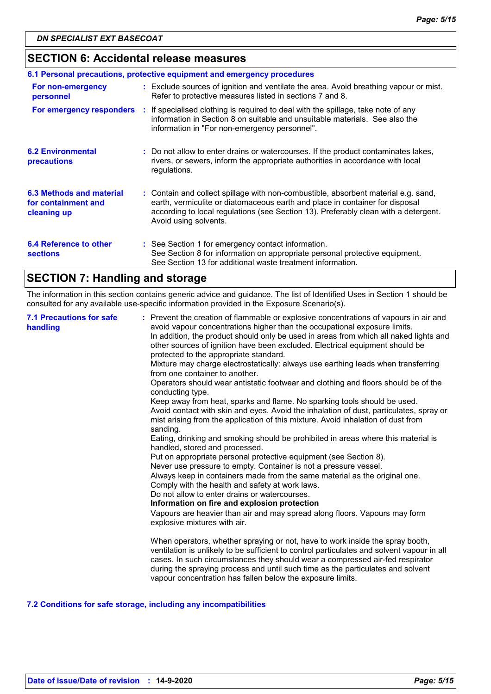### **SECTION 6: Accidental release measures**

| 6.1 Personal precautions, protective equipment and emergency procedures |  |                                                                                                                                                                                                                                                                                    |
|-------------------------------------------------------------------------|--|------------------------------------------------------------------------------------------------------------------------------------------------------------------------------------------------------------------------------------------------------------------------------------|
| For non-emergency<br>personnel                                          |  | : Exclude sources of ignition and ventilate the area. Avoid breathing vapour or mist.<br>Refer to protective measures listed in sections 7 and 8.                                                                                                                                  |
| For emergency responders                                                |  | : If specialised clothing is required to deal with the spillage, take note of any<br>information in Section 8 on suitable and unsuitable materials. See also the<br>information in "For non-emergency personnel".                                                                  |
| <b>6.2 Environmental</b><br>precautions                                 |  | : Do not allow to enter drains or watercourses. If the product contaminates lakes,<br>rivers, or sewers, inform the appropriate authorities in accordance with local<br>regulations.                                                                                               |
| 6.3 Methods and material<br>for containment and<br>cleaning up          |  | : Contain and collect spillage with non-combustible, absorbent material e.g. sand,<br>earth, vermiculite or diatomaceous earth and place in container for disposal<br>according to local regulations (see Section 13). Preferably clean with a detergent.<br>Avoid using solvents. |
| 6.4 Reference to other<br><b>sections</b>                               |  | : See Section 1 for emergency contact information.<br>See Section 8 for information on appropriate personal protective equipment.<br>See Section 13 for additional waste treatment information.                                                                                    |

### **SECTION 7: Handling and storage**

The information in this section contains generic advice and guidance. The list of Identified Uses in Section 1 should be consulted for any available use-specific information provided in the Exposure Scenario(s).

| <b>7.1 Precautions for safe</b><br>handling | : Prevent the creation of flammable or explosive concentrations of vapours in air and<br>avoid vapour concentrations higher than the occupational exposure limits.<br>In addition, the product should only be used in areas from which all naked lights and<br>other sources of ignition have been excluded. Electrical equipment should be<br>protected to the appropriate standard.<br>Mixture may charge electrostatically: always use earthing leads when transferring<br>from one container to another.<br>Operators should wear antistatic footwear and clothing and floors should be of the<br>conducting type.<br>Keep away from heat, sparks and flame. No sparking tools should be used.<br>Avoid contact with skin and eyes. Avoid the inhalation of dust, particulates, spray or<br>mist arising from the application of this mixture. Avoid inhalation of dust from<br>sanding.<br>Eating, drinking and smoking should be prohibited in areas where this material is<br>handled, stored and processed.<br>Put on appropriate personal protective equipment (see Section 8).<br>Never use pressure to empty. Container is not a pressure vessel.<br>Always keep in containers made from the same material as the original one.<br>Comply with the health and safety at work laws.<br>Do not allow to enter drains or watercourses.<br>Information on fire and explosion protection<br>Vapours are heavier than air and may spread along floors. Vapours may form<br>explosive mixtures with air.<br>When operators, whether spraying or not, have to work inside the spray booth,<br>ventilation is unlikely to be sufficient to control particulates and solvent vapour in all |
|---------------------------------------------|---------------------------------------------------------------------------------------------------------------------------------------------------------------------------------------------------------------------------------------------------------------------------------------------------------------------------------------------------------------------------------------------------------------------------------------------------------------------------------------------------------------------------------------------------------------------------------------------------------------------------------------------------------------------------------------------------------------------------------------------------------------------------------------------------------------------------------------------------------------------------------------------------------------------------------------------------------------------------------------------------------------------------------------------------------------------------------------------------------------------------------------------------------------------------------------------------------------------------------------------------------------------------------------------------------------------------------------------------------------------------------------------------------------------------------------------------------------------------------------------------------------------------------------------------------------------------------------------------------------------------------------------------------------------------------------------|
|                                             | cases. In such circumstances they should wear a compressed air-fed respirator<br>during the spraying process and until such time as the particulates and solvent<br>vapour concentration has fallen below the exposure limits.                                                                                                                                                                                                                                                                                                                                                                                                                                                                                                                                                                                                                                                                                                                                                                                                                                                                                                                                                                                                                                                                                                                                                                                                                                                                                                                                                                                                                                                              |

### **7.2 Conditions for safe storage, including any incompatibilities**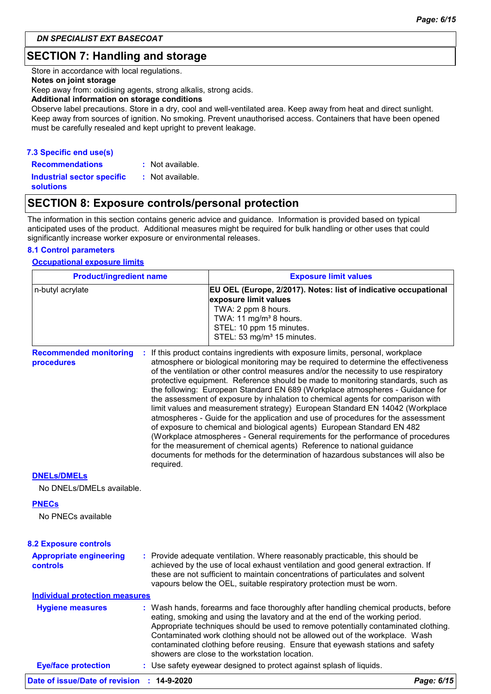### **SECTION 7: Handling and storage**

Store in accordance with local regulations.

#### **Notes on joint storage**

Keep away from: oxidising agents, strong alkalis, strong acids.

#### **Additional information on storage conditions**

Observe label precautions. Store in a dry, cool and well-ventilated area. Keep away from heat and direct sunlight. Keep away from sources of ignition. No smoking. Prevent unauthorised access. Containers that have been opened must be carefully resealed and kept upright to prevent leakage.

### **7.3 Specific end use(s)**

**Recommendations : Industrial sector specific : solutions** : Not available. : Not available.

### **SECTION 8: Exposure controls/personal protection**

The information in this section contains generic advice and guidance. Information is provided based on typical anticipated uses of the product. Additional measures might be required for bulk handling or other uses that could significantly increase worker exposure or environmental releases.

#### **8.1 Control parameters**

### **Occupational exposure limits**

| <b>Product/ingredient name</b>                   | <b>Exposure limit values</b>                                                                                                                                                                                                                                 |
|--------------------------------------------------|--------------------------------------------------------------------------------------------------------------------------------------------------------------------------------------------------------------------------------------------------------------|
| n-butyl acrylate                                 | EU OEL (Europe, 2/2017). Notes: list of indicative occupational<br>exposure limit values<br>TWA: 2 ppm 8 hours.<br>TWA: 11 mg/m <sup>3</sup> 8 hours.<br>STEL: 10 ppm 15 minutes.<br>STEL: 53 mg/m <sup>3</sup> 15 minutes.                                  |
| <b>Recommended monitoring</b><br>÷<br>procedures | If this product contains ingredients with exposure limits, personal, workplace<br>atmosphere or biological monitoring may be required to determine the effectiveness<br>of the ventilation or other control measures and/or the necessity to use respiratory |

protective equipment. Reference should be made to monitoring standards, such as the following: European Standard EN 689 (Workplace atmospheres - Guidance for the assessment of exposure by inhalation to chemical agents for comparison with limit values and measurement strategy) European Standard EN 14042 (Workplace atmospheres - Guide for the application and use of procedures for the assessment of exposure to chemical and biological agents) European Standard EN 482 (Workplace atmospheres - General requirements for the performance of procedures for the measurement of chemical agents) Reference to national guidance documents for methods for the determination of hazardous substances will also be required.

#### **DNELs/DMELs**

No DNELs/DMELs available.

#### **PNECs**

No PNECs available

#### Use safety eyewear designed to protect against splash of liquids. **:** Provide adequate ventilation. Where reasonably practicable, this should be achieved by the use of local exhaust ventilation and good general extraction. If these are not sufficient to maintain concentrations of particulates and solvent vapours below the OEL, suitable respiratory protection must be worn. **Eye/face protection : Appropriate engineering controls** Wash hands, forearms and face thoroughly after handling chemical products, before eating, smoking and using the lavatory and at the end of the working period. Appropriate techniques should be used to remove potentially contaminated clothing. Contaminated work clothing should not be allowed out of the workplace. Wash contaminated clothing before reusing. Ensure that eyewash stations and safety showers are close to the workstation location. **8.2 Exposure controls Hygiene measures : Individual protection measures**

### **Date of issue/Date of revision : 14-9-2020** *Page: 6/15*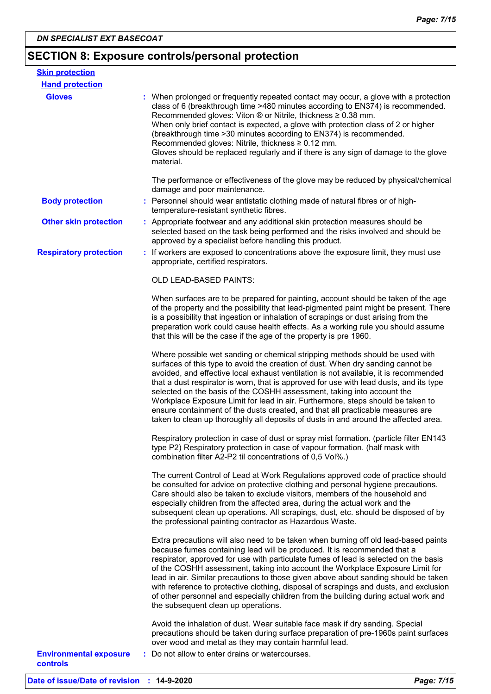### **SECTION 8: Exposure controls/personal protection**

| <b>Skin protection</b>        |                                                                                                                                                                                                                                                                                                                                                                                                                                                                                                                                                                                                                                                                                         |
|-------------------------------|-----------------------------------------------------------------------------------------------------------------------------------------------------------------------------------------------------------------------------------------------------------------------------------------------------------------------------------------------------------------------------------------------------------------------------------------------------------------------------------------------------------------------------------------------------------------------------------------------------------------------------------------------------------------------------------------|
| <b>Hand protection</b>        |                                                                                                                                                                                                                                                                                                                                                                                                                                                                                                                                                                                                                                                                                         |
| <b>Gloves</b>                 | : When prolonged or frequently repeated contact may occur, a glove with a protection<br>class of 6 (breakthrough time >480 minutes according to EN374) is recommended.<br>Recommended gloves: Viton ® or Nitrile, thickness ≥ 0.38 mm.<br>When only brief contact is expected, a glove with protection class of 2 or higher<br>(breakthrough time > 30 minutes according to EN374) is recommended.<br>Recommended gloves: Nitrile, thickness ≥ 0.12 mm.<br>Gloves should be replaced regularly and if there is any sign of damage to the glove<br>material.                                                                                                                             |
|                               | The performance or effectiveness of the glove may be reduced by physical/chemical<br>damage and poor maintenance.                                                                                                                                                                                                                                                                                                                                                                                                                                                                                                                                                                       |
| <b>Body protection</b>        | : Personnel should wear antistatic clothing made of natural fibres or of high-<br>temperature-resistant synthetic fibres.                                                                                                                                                                                                                                                                                                                                                                                                                                                                                                                                                               |
| <b>Other skin protection</b>  | : Appropriate footwear and any additional skin protection measures should be<br>selected based on the task being performed and the risks involved and should be<br>approved by a specialist before handling this product.                                                                                                                                                                                                                                                                                                                                                                                                                                                               |
| <b>Respiratory protection</b> | : If workers are exposed to concentrations above the exposure limit, they must use<br>appropriate, certified respirators.                                                                                                                                                                                                                                                                                                                                                                                                                                                                                                                                                               |
|                               | <b>OLD LEAD-BASED PAINTS:</b>                                                                                                                                                                                                                                                                                                                                                                                                                                                                                                                                                                                                                                                           |
|                               | When surfaces are to be prepared for painting, account should be taken of the age<br>of the property and the possibility that lead-pigmented paint might be present. There<br>is a possibility that ingestion or inhalation of scrapings or dust arising from the<br>preparation work could cause health effects. As a working rule you should assume<br>that this will be the case if the age of the property is pre 1960.                                                                                                                                                                                                                                                             |
|                               | Where possible wet sanding or chemical stripping methods should be used with<br>surfaces of this type to avoid the creation of dust. When dry sanding cannot be<br>avoided, and effective local exhaust ventilation is not available, it is recommended<br>that a dust respirator is worn, that is approved for use with lead dusts, and its type<br>selected on the basis of the COSHH assessment, taking into account the<br>Workplace Exposure Limit for lead in air. Furthermore, steps should be taken to<br>ensure containment of the dusts created, and that all practicable measures are<br>taken to clean up thoroughly all deposits of dusts in and around the affected area. |
|                               | Respiratory protection in case of dust or spray mist formation. (particle filter EN143<br>type P2) Respiratory protection in case of vapour formation. (half mask with<br>combination filter A2-P2 til concentrations of 0,5 Vol%.)                                                                                                                                                                                                                                                                                                                                                                                                                                                     |
|                               | The current Control of Lead at Work Regulations approved code of practice should<br>be consulted for advice on protective clothing and personal hygiene precautions.<br>Care should also be taken to exclude visitors, members of the household and<br>especially children from the affected area, during the actual work and the<br>subsequent clean up operations. All scrapings, dust, etc. should be disposed of by<br>the professional painting contractor as Hazardous Waste.                                                                                                                                                                                                     |
|                               | Extra precautions will also need to be taken when burning off old lead-based paints<br>because fumes containing lead will be produced. It is recommended that a<br>respirator, approved for use with particulate fumes of lead is selected on the basis<br>of the COSHH assessment, taking into account the Workplace Exposure Limit for<br>lead in air. Similar precautions to those given above about sanding should be taken<br>with reference to protective clothing, disposal of scrapings and dusts, and exclusion<br>of other personnel and especially children from the building during actual work and<br>the subsequent clean up operations.                                  |
| <b>Environmental exposure</b> | Avoid the inhalation of dust. Wear suitable face mask if dry sanding. Special<br>precautions should be taken during surface preparation of pre-1960s paint surfaces<br>over wood and metal as they may contain harmful lead.<br>Do not allow to enter drains or watercourses.                                                                                                                                                                                                                                                                                                                                                                                                           |
| <b>controls</b>               |                                                                                                                                                                                                                                                                                                                                                                                                                                                                                                                                                                                                                                                                                         |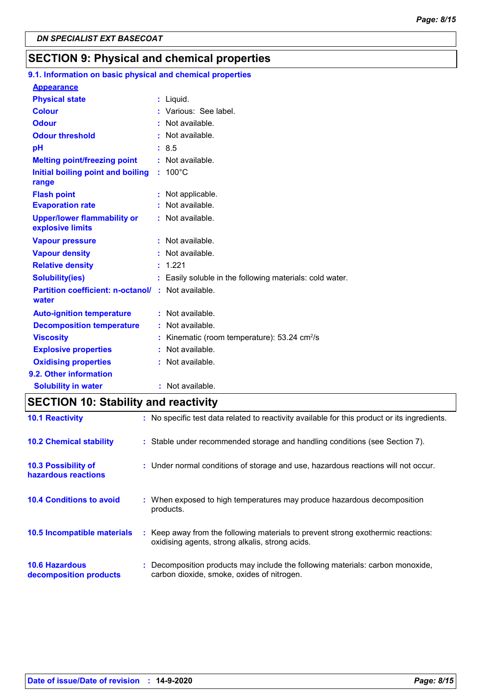### **SECTION 9: Physical and chemical properties**

| 9.1. Information on basic physical and chemical properties |    |                                                             |
|------------------------------------------------------------|----|-------------------------------------------------------------|
| <b>Appearance</b>                                          |    |                                                             |
| <b>Physical state</b>                                      |    | : Liquid.                                                   |
| <b>Colour</b>                                              |    | Various: See label.                                         |
| <b>Odour</b>                                               |    | Not available.                                              |
| <b>Odour threshold</b>                                     | ÷. | Not available.                                              |
| pH                                                         |    | : 8.5                                                       |
| <b>Melting point/freezing point</b>                        | ÷. | Not available.                                              |
| Initial boiling point and boiling<br>range                 |    | $: 100^{\circ}$ C                                           |
| <b>Flash point</b>                                         |    | Not applicable.                                             |
| <b>Evaporation rate</b>                                    |    | Not available.                                              |
| <b>Upper/lower flammability or</b><br>explosive limits     |    | : Not available.                                            |
| <b>Vapour pressure</b>                                     |    | Not available.                                              |
| <b>Vapour density</b>                                      |    | Not available.                                              |
| <b>Relative density</b>                                    | t. | 1.221                                                       |
| <b>Solubility(ies)</b>                                     |    | Easily soluble in the following materials: cold water.      |
| <b>Partition coefficient: n-octanol/</b><br>water          |    | : Not available.                                            |
| <b>Auto-ignition temperature</b>                           |    | : Not available.                                            |
| <b>Decomposition temperature</b>                           |    | : Not available.                                            |
| <b>Viscosity</b>                                           |    | Kinematic (room temperature): $53.24 \text{ cm}^2/\text{s}$ |
| <b>Explosive properties</b>                                |    | Not available.                                              |
| <b>Oxidising properties</b>                                |    | Not available.                                              |
| 9.2. Other information                                     |    |                                                             |
| <b>Solubility in water</b>                                 |    | : Not available.                                            |

# **SECTION 10: Stability and reactivity**

| <b>10.1 Reactivity</b>                            | : No specific test data related to reactivity available for this product or its ingredients.                                        |
|---------------------------------------------------|-------------------------------------------------------------------------------------------------------------------------------------|
| <b>10.2 Chemical stability</b>                    | : Stable under recommended storage and handling conditions (see Section 7).                                                         |
| <b>10.3 Possibility of</b><br>hazardous reactions | : Under normal conditions of storage and use, hazardous reactions will not occur.                                                   |
| <b>10.4 Conditions to avoid</b>                   | : When exposed to high temperatures may produce hazardous decomposition<br>products.                                                |
| <b>10.5 Incompatible materials</b>                | : Keep away from the following materials to prevent strong exothermic reactions:<br>oxidising agents, strong alkalis, strong acids. |
| <b>10.6 Hazardous</b><br>decomposition products   | : Decomposition products may include the following materials: carbon monoxide,<br>carbon dioxide, smoke, oxides of nitrogen.        |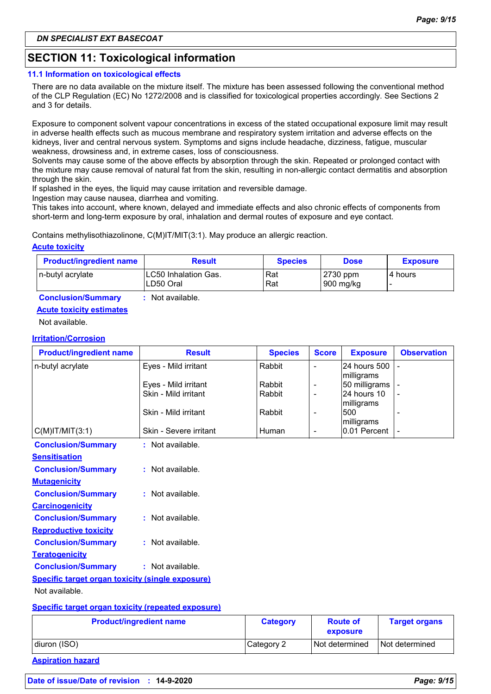### **SECTION 11: Toxicological information**

### **11.1 Information on toxicological effects**

There are no data available on the mixture itself. The mixture has been assessed following the conventional method of the CLP Regulation (EC) No 1272/2008 and is classified for toxicological properties accordingly. See Sections 2 and 3 for details.

Exposure to component solvent vapour concentrations in excess of the stated occupational exposure limit may result in adverse health effects such as mucous membrane and respiratory system irritation and adverse effects on the kidneys, liver and central nervous system. Symptoms and signs include headache, dizziness, fatigue, muscular weakness, drowsiness and, in extreme cases, loss of consciousness.

Solvents may cause some of the above effects by absorption through the skin. Repeated or prolonged contact with the mixture may cause removal of natural fat from the skin, resulting in non-allergic contact dermatitis and absorption through the skin.

If splashed in the eyes, the liquid may cause irritation and reversible damage.

Ingestion may cause nausea, diarrhea and vomiting.

This takes into account, where known, delayed and immediate effects and also chronic effects of components from short-term and long-term exposure by oral, inhalation and dermal routes of exposure and eye contact.

Contains methylisothiazolinone, C(M)IT/MIT(3:1). May produce an allergic reaction.

### **Acute toxicity**

| <b>Product/ingredient name</b> | <b>Result</b>                      | <b>Species</b> | <b>Dose</b>           | <b>Exposure</b> |
|--------------------------------|------------------------------------|----------------|-----------------------|-----------------|
| In-butyl acrylate              | ILC50 Inhalation Gas.<br>LD50 Oral | Rat<br>Rat     | 2730 ppm<br>900 mg/kg | l 4 hours       |

**Conclusion/Summary :** Not available.

### **Acute toxicity estimates**

Not available.

### **Irritation/Corrosion**

| <b>Product/ingredient name</b>                            | <b>Result</b>                                | <b>Species</b>   | <b>Score</b>             | <b>Exposure</b>              | <b>Observation</b> |
|-----------------------------------------------------------|----------------------------------------------|------------------|--------------------------|------------------------------|--------------------|
| n-butyl acrylate                                          | Eyes - Mild irritant                         | Rabbit           |                          | 24 hours 500                 |                    |
|                                                           |                                              |                  |                          | milligrams                   |                    |
|                                                           | Eyes - Mild irritant<br>Skin - Mild irritant | Rabbit<br>Rabbit |                          | 50 milligrams<br>24 hours 10 |                    |
|                                                           |                                              |                  | $\overline{\phantom{a}}$ | milligrams                   |                    |
|                                                           | Skin - Mild irritant                         | Rabbit           | $\overline{\phantom{a}}$ | 500                          |                    |
|                                                           |                                              |                  |                          | milligrams                   |                    |
| $C(M)$ IT/MIT $(3:1)$                                     | Skin - Severe irritant                       | Human            | $\overline{\phantom{a}}$ | 0.01 Percent                 |                    |
| <b>Conclusion/Summary</b>                                 | : Not available.                             |                  |                          |                              |                    |
| <b>Sensitisation</b>                                      |                                              |                  |                          |                              |                    |
| <b>Conclusion/Summary</b>                                 | : Not available.                             |                  |                          |                              |                    |
| <b>Mutagenicity</b>                                       |                                              |                  |                          |                              |                    |
| <b>Conclusion/Summary</b>                                 | : Not available.                             |                  |                          |                              |                    |
| <b>Carcinogenicity</b>                                    |                                              |                  |                          |                              |                    |
| <b>Conclusion/Summary</b>                                 | : Not available.                             |                  |                          |                              |                    |
| <b>Reproductive toxicity</b>                              |                                              |                  |                          |                              |                    |
| <b>Conclusion/Summary</b>                                 | : Not available.                             |                  |                          |                              |                    |
| <b>Teratogenicity</b>                                     |                                              |                  |                          |                              |                    |
| <b>Conclusion/Summary</b>                                 | : Not available.                             |                  |                          |                              |                    |
| <b>Specific target organ toxicity (single exposure)</b>   |                                              |                  |                          |                              |                    |
| Not available.                                            |                                              |                  |                          |                              |                    |
| <b>Specific target organ toxicity (repeated exposure)</b> |                                              |                  |                          |                              |                    |

#### **Product/ingredient name Category Route of exposure Target organs** diuron (ISO) category 2 Not determined Not determined

**Aspiration hazard**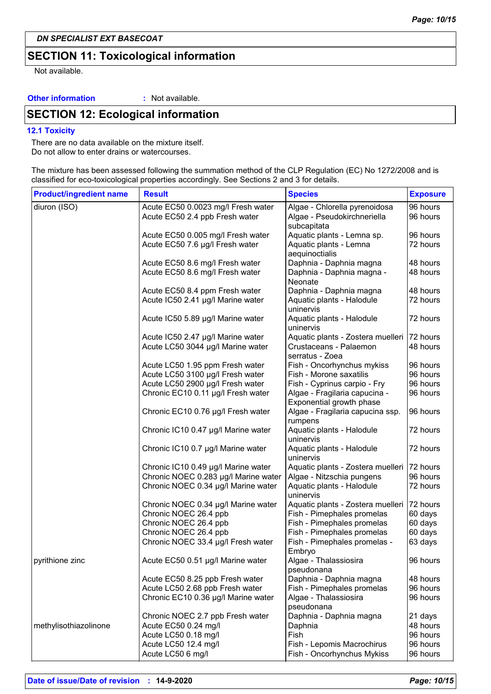### **SECTION 11: Toxicological information**

Not available.

### **Other information :**

: Not available.

# **SECTION 12: Ecological information**

#### **12.1 Toxicity**

There are no data available on the mixture itself. Do not allow to enter drains or watercourses.

The mixture has been assessed following the summation method of the CLP Regulation (EC) No 1272/2008 and is classified for eco-toxicological properties accordingly. See Sections 2 and 3 for details.

| <b>Exposure</b>                              |
|----------------------------------------------|
| 96 hours                                     |
| 96 hours                                     |
| 96 hours                                     |
| 72 hours                                     |
| 48 hours                                     |
| 48 hours                                     |
| 48 hours                                     |
| 72 hours                                     |
| 72 hours                                     |
| Aquatic plants - Zostera muelleri   72 hours |
| 48 hours                                     |
| 96 hours                                     |
| 96 hours                                     |
| 96 hours                                     |
| 96 hours                                     |
| 96 hours                                     |
| 72 hours                                     |
| 72 hours                                     |
| 72 hours                                     |
| 96 hours                                     |
| 72 hours                                     |
| 72 hours                                     |
| 60 days                                      |
| 60 days                                      |
| 60 days                                      |
| 63 days                                      |
| 96 hours                                     |
| 48 hours                                     |
| 96 hours                                     |
| 96 hours                                     |
| 21 days                                      |
| 48 hours                                     |
| 96 hours                                     |
| 96 hours                                     |
|                                              |
|                                              |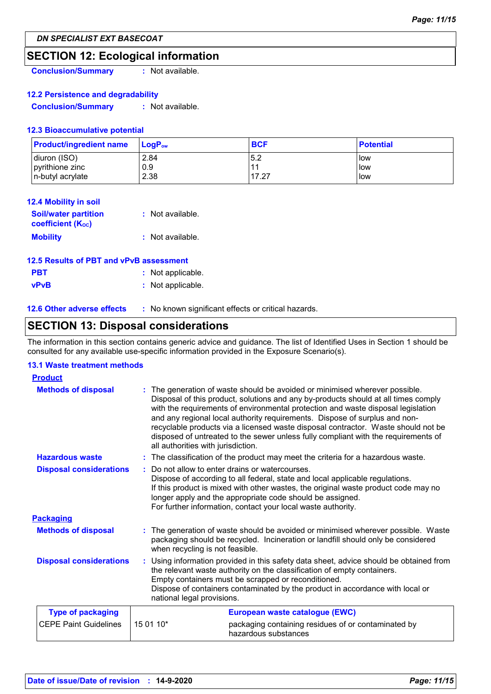### **SECTION 12: Ecological information**

**Conclusion/Summary :** Not available.

### **12.2 Persistence and degradability**

**Conclusion/Summary :** Not available.

### **12.3 Bioaccumulative potential**

| <b>Product/ingredient name</b> | <b>LoaP</b> <sub>ow</sub> | <b>BCF</b> | <b>Potential</b> |
|--------------------------------|---------------------------|------------|------------------|
| diuron (ISO)                   | 2.84                      | 5.2        | <b>low</b>       |
| pyrithione zinc                | 0.9                       | $-11$      | <b>low</b>       |
| n-butyl acrylate               | 2.38                      | 17.27      | llow             |

| 12.4 Mobility in soil                                   |                  |
|---------------------------------------------------------|------------------|
| <b>Soil/water partition</b><br><b>coefficient (Koc)</b> | : Not available. |
| <b>Mobility</b>                                         | : Not available. |
| 12.5 Results of PBT and vPvB assessment                 |                  |

# **PBT :** Not applicable.

**vPvB :** Not applicable.

**12.6 Other adverse effects** : No known significant effects or critical hazards.

### **SECTION 13: Disposal considerations**

The information in this section contains generic advice and guidance. The list of Identified Uses in Section 1 should be consulted for any available use-specific information provided in the Exposure Scenario(s).

### **13.1 Waste treatment methods**

| <b>Product</b>                 |                                                                                                                                                                                                                                                                                                                                         |                                                                                                                                                                                                                                                                                                                                                                                                                                                                                                                |  |
|--------------------------------|-----------------------------------------------------------------------------------------------------------------------------------------------------------------------------------------------------------------------------------------------------------------------------------------------------------------------------------------|----------------------------------------------------------------------------------------------------------------------------------------------------------------------------------------------------------------------------------------------------------------------------------------------------------------------------------------------------------------------------------------------------------------------------------------------------------------------------------------------------------------|--|
| <b>Methods of disposal</b>     | all authorities with jurisdiction.                                                                                                                                                                                                                                                                                                      | : The generation of waste should be avoided or minimised wherever possible.<br>Disposal of this product, solutions and any by-products should at all times comply<br>with the requirements of environmental protection and waste disposal legislation<br>and any regional local authority requirements. Dispose of surplus and non-<br>recyclable products via a licensed waste disposal contractor. Waste should not be<br>disposed of untreated to the sewer unless fully compliant with the requirements of |  |
| <b>Hazardous waste</b>         |                                                                                                                                                                                                                                                                                                                                         | : The classification of the product may meet the criteria for a hazardous waste.                                                                                                                                                                                                                                                                                                                                                                                                                               |  |
| <b>Disposal considerations</b> |                                                                                                                                                                                                                                                                                                                                         | Do not allow to enter drains or watercourses.<br>Dispose of according to all federal, state and local applicable regulations.<br>If this product is mixed with other wastes, the original waste product code may no<br>longer apply and the appropriate code should be assigned.<br>For further information, contact your local waste authority.                                                                                                                                                               |  |
| <b>Packaging</b>               |                                                                                                                                                                                                                                                                                                                                         |                                                                                                                                                                                                                                                                                                                                                                                                                                                                                                                |  |
| <b>Methods of disposal</b>     | when recycling is not feasible.                                                                                                                                                                                                                                                                                                         | : The generation of waste should be avoided or minimised wherever possible. Waste<br>packaging should be recycled. Incineration or landfill should only be considered                                                                                                                                                                                                                                                                                                                                          |  |
| <b>Disposal considerations</b> | : Using information provided in this safety data sheet, advice should be obtained from<br>the relevant waste authority on the classification of empty containers.<br>Empty containers must be scrapped or reconditioned.<br>Dispose of containers contaminated by the product in accordance with local or<br>national legal provisions. |                                                                                                                                                                                                                                                                                                                                                                                                                                                                                                                |  |
| <b>Type of packaging</b>       |                                                                                                                                                                                                                                                                                                                                         | European waste catalogue (EWC)                                                                                                                                                                                                                                                                                                                                                                                                                                                                                 |  |
| <b>CEPE Paint Guidelines</b>   | 15 01 10*                                                                                                                                                                                                                                                                                                                               | packaging containing residues of or contaminated by<br>hazardous substances                                                                                                                                                                                                                                                                                                                                                                                                                                    |  |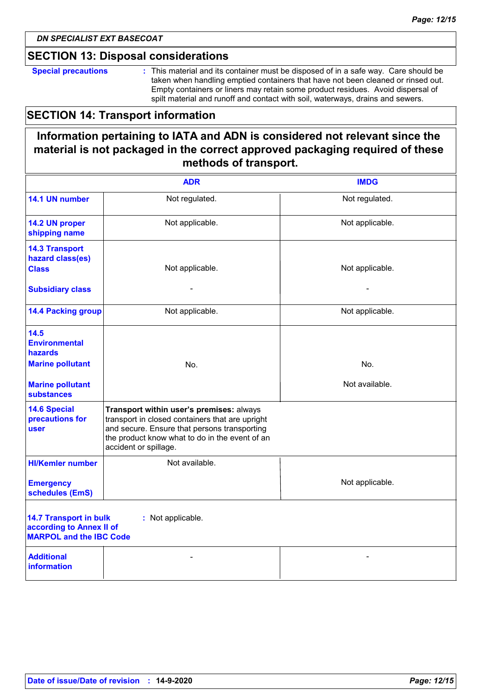### **SECTION 13: Disposal considerations**

**Special precautions :** This material and its container must be disposed of in a safe way. Care should be taken when handling emptied containers that have not been cleaned or rinsed out. Empty containers or liners may retain some product residues. Avoid dispersal of spilt material and runoff and contact with soil, waterways, drains and sewers.

### **SECTION 14: Transport information**

### **Information pertaining to IATA and ADN is considered not relevant since the material is not packaged in the correct approved packaging required of these methods of transport.**

|                                                                                                                  | <b>ADR</b>                                                                                                                                                                                                             | <b>IMDG</b>     |  |  |
|------------------------------------------------------------------------------------------------------------------|------------------------------------------------------------------------------------------------------------------------------------------------------------------------------------------------------------------------|-----------------|--|--|
| 14.1 UN number                                                                                                   | Not regulated.                                                                                                                                                                                                         | Not regulated.  |  |  |
| 14.2 UN proper<br>shipping name                                                                                  | Not applicable.                                                                                                                                                                                                        | Not applicable. |  |  |
| <b>14.3 Transport</b><br>hazard class(es)<br><b>Class</b>                                                        | Not applicable.                                                                                                                                                                                                        | Not applicable. |  |  |
| <b>Subsidiary class</b>                                                                                          |                                                                                                                                                                                                                        |                 |  |  |
| <b>14.4 Packing group</b>                                                                                        | Not applicable.                                                                                                                                                                                                        | Not applicable. |  |  |
| 14.5<br><b>Environmental</b><br>hazards                                                                          |                                                                                                                                                                                                                        |                 |  |  |
| <b>Marine pollutant</b>                                                                                          | No.                                                                                                                                                                                                                    | No.             |  |  |
| <b>Marine pollutant</b><br><b>substances</b>                                                                     |                                                                                                                                                                                                                        | Not available.  |  |  |
| <b>14.6 Special</b><br>precautions for<br>user                                                                   | Transport within user's premises: always<br>transport in closed containers that are upright<br>and secure. Ensure that persons transporting<br>the product know what to do in the event of an<br>accident or spillage. |                 |  |  |
| <b>HI/Kemler number</b>                                                                                          | Not available.                                                                                                                                                                                                         |                 |  |  |
| <b>Emergency</b><br>schedules (EmS)                                                                              |                                                                                                                                                                                                                        | Not applicable. |  |  |
| <b>14.7 Transport in bulk</b><br>: Not applicable.<br>according to Annex II of<br><b>MARPOL and the IBC Code</b> |                                                                                                                                                                                                                        |                 |  |  |
| <b>Additional</b><br><b>information</b>                                                                          |                                                                                                                                                                                                                        |                 |  |  |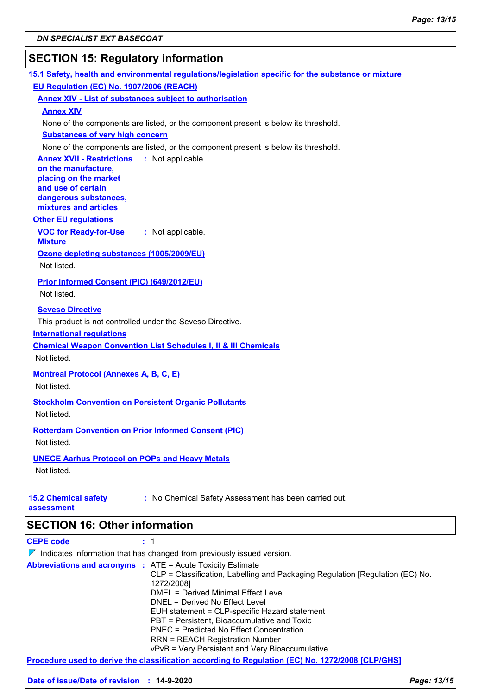# **SECTION 15: Regulatory information**

| 15.1 Safety, health and environmental regulations/legislation specific for the substance or mixture |
|-----------------------------------------------------------------------------------------------------|
| EU Regulation (EC) No. 1907/2006 (REACH)                                                            |
| <b>Annex XIV - List of substances subject to authorisation</b>                                      |
| <b>Annex XIV</b>                                                                                    |
| None of the components are listed, or the component present is below its threshold.                 |
| <b>Substances of very high concern</b>                                                              |
| None of the components are listed, or the component present is below its threshold.                 |
| <b>Annex XVII - Restrictions</b><br>: Not applicable.                                               |
| on the manufacture,                                                                                 |
| placing on the market<br>and use of certain                                                         |
| dangerous substances,                                                                               |
| mixtures and articles                                                                               |
| <b>Other EU regulations</b>                                                                         |
| <b>VOC for Ready-for-Use</b><br>: Not applicable.<br><b>Mixture</b>                                 |
| Ozone depleting substances (1005/2009/EU)                                                           |
| Not listed.                                                                                         |
| Prior Informed Consent (PIC) (649/2012/EU)                                                          |
| Not listed.                                                                                         |
|                                                                                                     |
| <b>Seveso Directive</b>                                                                             |
| This product is not controlled under the Seveso Directive.                                          |
| <b>International requlations</b>                                                                    |
| <b>Chemical Weapon Convention List Schedules I, II &amp; III Chemicals</b>                          |
| Not listed.                                                                                         |
| <b>Montreal Protocol (Annexes A, B, C, E)</b>                                                       |
| Not listed.                                                                                         |
| <b>Stockholm Convention on Persistent Organic Pollutants</b>                                        |
| Not listed.                                                                                         |
| <b>Rotterdam Convention on Prior Informed Consent (PIC)</b>                                         |
| Not listed.                                                                                         |
|                                                                                                     |
| <b>UNECE Aarhus Protocol on POPs and Heavy Metals</b>                                               |
| Not listed.                                                                                         |
|                                                                                                     |
| <b>15.2 Chemical safety</b><br>: No Chemical Safety Assessment has been carried out.<br>assessment  |
|                                                                                                     |
| <b>SECTION 16: Other information</b>                                                                |
| <b>CEPE code</b><br>1                                                                               |
| $\nabla$ Indicates information that has changed from previously issued version.                     |
| $ATT = A + A + T + M + I + M + M + M + M$                                                           |

| PBT = Persistent, Bioaccumulative and Toxic<br><b>PNEC</b> = Predicted No Effect Concentration<br><b>RRN = REACH Registration Number</b><br>vPvB = Very Persistent and Very Bioaccumulative | CLP = Classification, Labelling and Packaging Regulation [Regulation (EC) No. |
|---------------------------------------------------------------------------------------------------------------------------------------------------------------------------------------------|-------------------------------------------------------------------------------|
|---------------------------------------------------------------------------------------------------------------------------------------------------------------------------------------------|-------------------------------------------------------------------------------|

**Procedure used to derive the classification according to Regulation (EC) No. 1272/2008 [CLP/GHS]**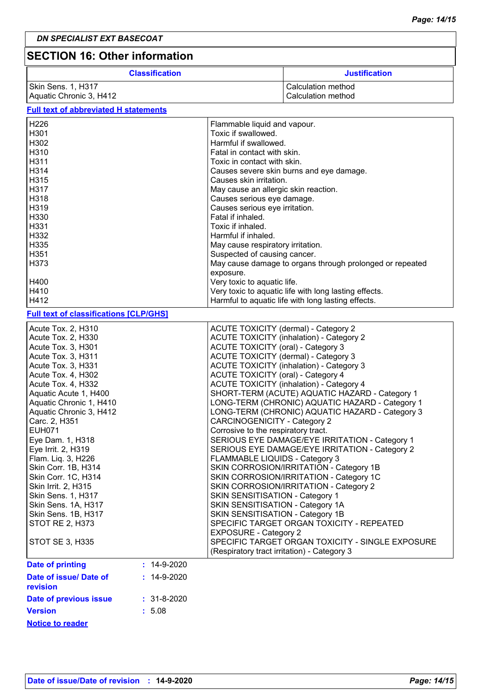# **SECTION 16: Other information**

| <b>Classification</b>   | <b>Justification</b> |
|-------------------------|----------------------|
| Skin Sens. 1, H317      | l Calculation method |
| Aquatic Chronic 3, H412 | l Calculation method |

### **Full text of abbreviated H statements**

| H <sub>226</sub>                              |                   | Flammable liquid and vapour.                             |  |
|-----------------------------------------------|-------------------|----------------------------------------------------------|--|
| H301                                          |                   | Toxic if swallowed.                                      |  |
| H302                                          |                   | Harmful if swallowed.                                    |  |
| H310                                          |                   | Fatal in contact with skin.                              |  |
| H311                                          |                   | Toxic in contact with skin.                              |  |
| H314                                          |                   | Causes severe skin burns and eye damage.                 |  |
| H315                                          |                   | Causes skin irritation.                                  |  |
| H317                                          |                   | May cause an allergic skin reaction.                     |  |
| H318                                          |                   | Causes serious eye damage.                               |  |
| H319                                          |                   | Causes serious eye irritation.                           |  |
| H330                                          |                   | Fatal if inhaled.                                        |  |
| H331                                          |                   | Toxic if inhaled.                                        |  |
| H332                                          |                   | Harmful if inhaled.                                      |  |
| H335                                          |                   | May cause respiratory irritation.                        |  |
| H351                                          |                   | Suspected of causing cancer.                             |  |
| H373                                          |                   | May cause damage to organs through prolonged or repeated |  |
|                                               |                   | exposure.                                                |  |
| H400                                          |                   | Very toxic to aquatic life.                              |  |
| H410                                          |                   | Very toxic to aquatic life with long lasting effects.    |  |
| H412                                          |                   | Harmful to aquatic life with long lasting effects.       |  |
|                                               |                   |                                                          |  |
| <b>Full text of classifications [CLP/GHS]</b> |                   |                                                          |  |
| Acute Tox. 2, H310                            |                   | <b>ACUTE TOXICITY (dermal) - Category 2</b>              |  |
| Acute Tox. 2, H330                            |                   | <b>ACUTE TOXICITY (inhalation) - Category 2</b>          |  |
| Acute Tox. 3, H301                            |                   | ACUTE TOXICITY (oral) - Category 3                       |  |
| Acute Tox. 3, H311                            |                   | ACUTE TOXICITY (dermal) - Category 3                     |  |
| Acute Tox. 3, H331                            |                   | <b>ACUTE TOXICITY (inhalation) - Category 3</b>          |  |
| Acute Tox. 4, H302                            |                   | <b>ACUTE TOXICITY (oral) - Category 4</b>                |  |
| Acute Tox. 4, H332                            |                   | <b>ACUTE TOXICITY (inhalation) - Category 4</b>          |  |
| Aquatic Acute 1, H400                         |                   | SHORT-TERM (ACUTE) AQUATIC HAZARD - Category 1           |  |
| Aquatic Chronic 1, H410                       |                   | LONG-TERM (CHRONIC) AQUATIC HAZARD - Category 1          |  |
| Aquatic Chronic 3, H412                       |                   | LONG-TERM (CHRONIC) AQUATIC HAZARD - Category 3          |  |
| Carc. 2, H351                                 |                   | <b>CARCINOGENICITY - Category 2</b>                      |  |
| <b>EUH071</b>                                 |                   | Corrosive to the respiratory tract.                      |  |
| Eye Dam. 1, H318                              |                   | SERIOUS EYE DAMAGE/EYE IRRITATION - Category 1           |  |
| Eye Irrit. 2, H319                            |                   | SERIOUS EYE DAMAGE/EYE IRRITATION - Category 2           |  |
| Flam. Liq. 3, H226                            |                   | FLAMMABLE LIQUIDS - Category 3                           |  |
| Skin Corr. 1B, H314                           |                   | SKIN CORROSION/IRRITATION - Category 1B                  |  |
| Skin Corr. 1C, H314                           |                   | SKIN CORROSION/IRRITATION - Category 1C                  |  |
| Skin Irrit. 2, H315                           |                   | SKIN CORROSION/IRRITATION - Category 2                   |  |
| Skin Sens. 1, H317                            |                   | SKIN SENSITISATION - Category 1                          |  |
| Skin Sens. 1A, H317                           |                   | SKIN SENSITISATION - Category 1A                         |  |
| Skin Sens. 1B, H317                           |                   | SKIN SENSITISATION - Category 1B                         |  |
| <b>STOT RE 2, H373</b>                        |                   | SPECIFIC TARGET ORGAN TOXICITY - REPEATED                |  |
|                                               |                   | <b>EXPOSURE - Category 2</b>                             |  |
| <b>STOT SE 3, H335</b>                        |                   | SPECIFIC TARGET ORGAN TOXICITY - SINGLE EXPOSURE         |  |
|                                               |                   | (Respiratory tract irritation) - Category 3              |  |
| <b>Date of printing</b>                       | $: 14-9-2020$     |                                                          |  |
|                                               |                   |                                                          |  |
| Date of issue/ Date of<br>revision            | $: 14 - 9 - 2020$ |                                                          |  |
| Date of previous issue                        | $: 31 - 8 - 2020$ |                                                          |  |
| <b>Version</b>                                |                   |                                                          |  |
|                                               | : 5.08            |                                                          |  |
| <b>Notice to reader</b>                       |                   |                                                          |  |